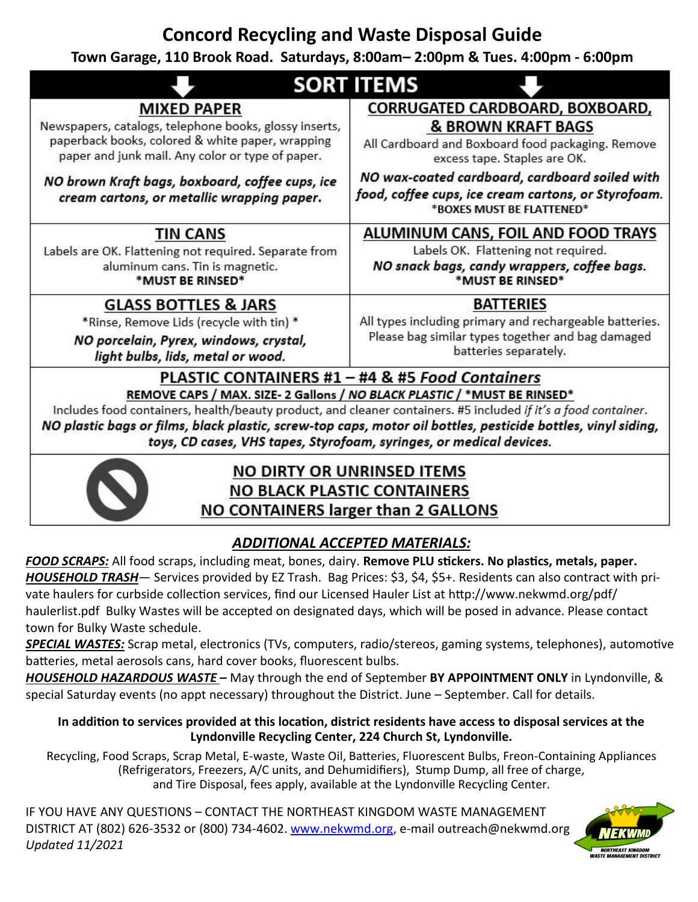# **Concord Recycling and Waste Disposal Guide**

## **Town Garage, 110 Brook Road. Saturdays, 8:00am– 2:00pm & Tues. 4:00pm - 6:00pm**

| <b>SORT ITEMS</b>                                                                                                                                                                                                                                                                                                                                                                                                                    |                                                                                                                                                           |
|--------------------------------------------------------------------------------------------------------------------------------------------------------------------------------------------------------------------------------------------------------------------------------------------------------------------------------------------------------------------------------------------------------------------------------------|-----------------------------------------------------------------------------------------------------------------------------------------------------------|
| <b>MIXED PAPER</b><br>Newspapers, catalogs, telephone books, glossy inserts,<br>paperback books, colored & white paper, wrapping<br>paper and junk mail. Any color or type of paper.                                                                                                                                                                                                                                                 | CORRUGATED CARDBOARD, BOXBOARD,<br><b>&amp; BROWN KRAFT BAGS</b><br>All Cardboard and Boxboard food packaging. Remove<br>excess tape. Staples are OK.     |
| NO brown Kraft bags, boxboard, coffee cups, ice<br>cream cartons, or metallic wrapping paper.                                                                                                                                                                                                                                                                                                                                        | NO wax-coated cardboard, cardboard soiled with<br>food, coffee cups, ice cream cartons, or Styrofoam.<br>*BOXES MUST BE FLATTENED*                        |
| <b>TIN CANS</b><br>Labels are OK. Flattening not required. Separate from<br>aluminum cans. Tin is magnetic.<br>*MUST BE RINSED*                                                                                                                                                                                                                                                                                                      | ALUMINUM CANS, FOIL AND FOOD TRAYS<br>Labels OK. Flattening not required.<br>NO snack bags, candy wrappers, coffee bags.<br>*MUST BE RINSED*              |
| <b>GLASS BOTTLES &amp; JARS</b><br>*Rinse, Remove Lids (recycle with tin) *<br>NO porcelain, Pyrex, windows, crystal,<br>light bulbs, lids, metal or wood.                                                                                                                                                                                                                                                                           | <b>BATTERIES</b><br>All types including primary and rechargeable batteries.<br>Please bag similar types together and bag damaged<br>batteries separately. |
| PLASTIC CONTAINERS #1 - #4 & #5 Food Containers<br>REMOVE CAPS / MAX. SIZE- 2 Gallons / NO BLACK PLASTIC / *MUST BE RINSED*<br>Includes food containers, health/beauty product, and cleaner containers. #5 included if it's a food container.<br>NO plastic bags or films, black plastic, screw-top caps, motor oil bottles, pesticide bottles, vinyl siding,<br>toys, CD cases, VHS tapes, Styrofoam, syringes, or medical devices. |                                                                                                                                                           |
|                                                                                                                                                                                                                                                                                                                                                                                                                                      |                                                                                                                                                           |



## NO DIRTY OR UNRINSED ITEMS **NO BLACK PLASTIC CONTAINERS** NO CONTAINERS larger than 2 GALLONS

## *ADDITIONAL ACCEPTED MATERIALS:*

*FOOD SCRAPS:* All food scraps, including meat, bones, dairy. **Remove PLU stickers. No plastics, metals, paper.** *HOUSEHOLD TRASH*— Services provided by EZ Trash. Bag Prices: \$3, \$4, \$5+. Residents can also contract with private haulers for curbside collection services, find our Licensed Hauler List at http://www.nekwmd.org/pdf/ haulerlist.pdf Bulky Wastes will be accepted on designated days, which will be posed in advance. Please contact town for Bulky Waste schedule.

*SPECIAL WASTES:* Scrap metal, electronics (TVs, computers, radio/stereos, gaming systems, telephones), automotive batteries, metal aerosols cans, hard cover books, fluorescent bulbs.

*HOUSEHOLD HAZARDOUS WASTE –* May through the end of September **BY APPOINTMENT ONLY** in Lyndonville, & special Saturday events (no appt necessary) throughout the District. June – September. Call for details.

#### **In addition to services provided at this location, district residents have access to disposal services at the Lyndonville Recycling Center, 224 Church St, Lyndonville.**

Recycling, Food Scraps, Scrap Metal, E-waste, Waste Oil, Batteries, Fluorescent Bulbs, Freon-Containing Appliances (Refrigerators, Freezers, A/C units, and Dehumidifiers), Stump Dump, all free of charge, and Tire Disposal, fees apply, available at the Lyndonville Recycling Center.

IF YOU HAVE ANY QUESTIONS – CONTACT THE NORTHEAST KINGDOM WASTE MANAGEMENT DISTRICT AT (802) 626-3532 or (800) 734-4602. www.nekwmd.org, e-mail outreach@nekwmd.org *Updated 11/2021*